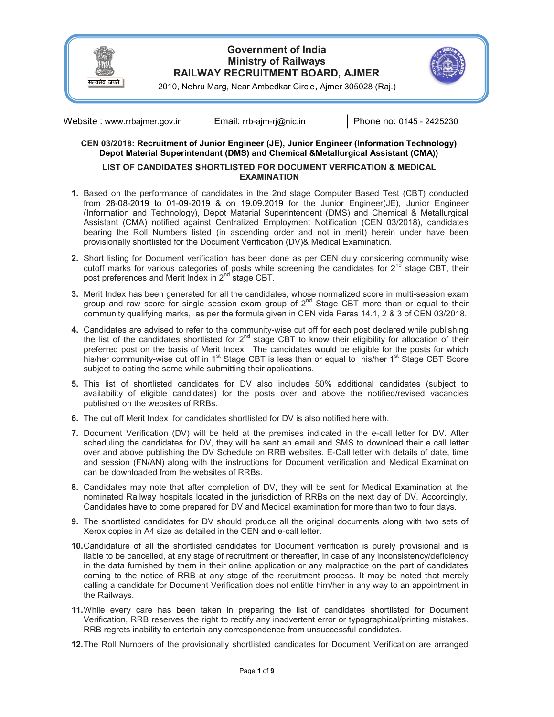

# Government of India Ministry of Railways RAILWAY RECRUITMENT BOARD, AJMER



2010, Nehru Marg, Near Ambedkar Circle, Ajmer 305028 (Raj.)

### CEN 03/2018: Recruitment of Junior Engineer (JE), Junior Engineer (Information Technology) Depot Material Superintendant (DMS) and Chemical &Metallurgical Assistant (CMA))

### LIST OF CANDIDATES SHORTLISTED FOR DOCUMENT VERFICATION & MEDICAL EXAMINATION

- 1. Based on the performance of candidates in the 2nd stage Computer Based Test (CBT) conducted from 28-08-2019 to 01-09-2019 & on 19.09.2019 for the Junior Engineer(JE), Junior Engineer (Information and Technology), Depot Material Superintendent (DMS) and Chemical & Metallurgical Assistant (CMA) notified against Centralized Employment Notification (CEN 03/2018), candidates bearing the Roll Numbers listed (in ascending order and not in merit) herein under have been provisionally shortlisted for the Document Verification (DV)& Medical Examination.
- 2. Short listing for Document verification has been done as per CEN duly considering community wise cutoff marks for various categories of posts while screening the candidates for  $2<sup>nd</sup>$  stage CBT, their post preferences and Merit Index in 2<sup>nd</sup> stage CBT.
- 3. Merit Index has been generated for all the candidates, whose normalized score in multi-session exam group and raw score for single session exam group of  $2^{nd}$  Stage CBT more than or equal to their community qualifying marks, as per the formula given in CEN vide Paras 14.1, 2 & 3 of CEN 03/2018.
- 4. Candidates are advised to refer to the community-wise cut off for each post declared while publishing the list of the candidates shortlisted for 2<sup>nd</sup> stage CBT to know their eligibility for allocation of their preferred post on the basis of Merit Index. The candidates would be eligible for the posts for which his/her community-wise cut off in 1<sup>st</sup> Stage CBT is less than or equal to  $\overline{\phantom{a}}$  his/her 1<sup>st</sup> Stage CBT Score subject to opting the same while submitting their applications.
- 5. This list of shortlisted candidates for DV also includes 50% additional candidates (subject to availability of eligible candidates) for the posts over and above the notified/revised vacancies published on the websites of RRBs.
- 6. The cut off Merit Index for candidates shortlisted for DV is also notified here with.
- 7. Document Verification (DV) will be held at the premises indicated in the e-call letter for DV. After scheduling the candidates for DV, they will be sent an email and SMS to download their e call letter over and above publishing the DV Schedule on RRB websites. E-Call letter with details of date, time and session (FN/AN) along with the instructions for Document verification and Medical Examination can be downloaded from the websites of RRBs.
- 8. Candidates may note that after completion of DV, they will be sent for Medical Examination at the nominated Railway hospitals located in the jurisdiction of RRBs on the next day of DV. Accordingly, Candidates have to come prepared for DV and Medical examination for more than two to four days.
- 9. The shortlisted candidates for DV should produce all the original documents along with two sets of Xerox copies in A4 size as detailed in the CEN and e-call letter.
- 10. Candidature of all the shortlisted candidates for Document verification is purely provisional and is liable to be cancelled, at any stage of recruitment or thereafter, in case of any inconsistency/deficiency in the data furnished by them in their online application or any malpractice on the part of candidates coming to the notice of RRB at any stage of the recruitment process. It may be noted that merely calling a candidate for Document Verification does not entitle him/her in any way to an appointment in the Railways.
- 11. While every care has been taken in preparing the list of candidates shortlisted for Document Verification, RRB reserves the right to rectify any inadvertent error or typographical/printing mistakes. RRB regrets inability to entertain any correspondence from unsuccessful candidates.
- 12. The Roll Numbers of the provisionally shortlisted candidates for Document Verification are arranged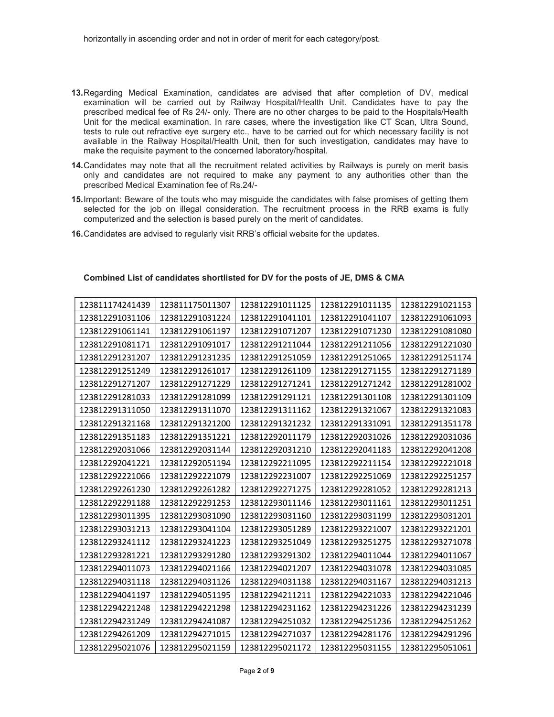- 13. Regarding Medical Examination, candidates are advised that after completion of DV, medical examination will be carried out by Railway Hospital/Health Unit. Candidates have to pay the prescribed medical fee of Rs 24/- only. There are no other charges to be paid to the Hospitals/Health Unit for the medical examination. In rare cases, where the investigation like CT Scan, Ultra Sound, tests to rule out refractive eye surgery etc., have to be carried out for which necessary facility is not available in the Railway Hospital/Health Unit, then for such investigation, candidates may have to make the requisite payment to the concerned laboratory/hospital.
- 14. Candidates may note that all the recruitment related activities by Railways is purely on merit basis only and candidates are not required to make any payment to any authorities other than the prescribed Medical Examination fee of Rs.24/-
- 15. Important: Beware of the touts who may misguide the candidates with false promises of getting them selected for the job on illegal consideration. The recruitment process in the RRB exams is fully computerized and the selection is based purely on the merit of candidates.
- 16. Candidates are advised to regularly visit RRB's official website for the updates.

| 123811174241439 | 123811175011307 | 123812291011125 | 123812291011135 | 123812291021153 |
|-----------------|-----------------|-----------------|-----------------|-----------------|
| 123812291031106 | 123812291031224 | 123812291041101 | 123812291041107 | 123812291061093 |
| 123812291061141 | 123812291061197 | 123812291071207 | 123812291071230 | 123812291081080 |
| 123812291081171 | 123812291091017 | 123812291211044 | 123812291211056 | 123812291221030 |
| 123812291231207 | 123812291231235 | 123812291251059 | 123812291251065 | 123812291251174 |
| 123812291251249 | 123812291261017 | 123812291261109 | 123812291271155 | 123812291271189 |
| 123812291271207 | 123812291271229 | 123812291271241 | 123812291271242 | 123812291281002 |
| 123812291281033 | 123812291281099 | 123812291291121 | 123812291301108 | 123812291301109 |
| 123812291311050 | 123812291311070 | 123812291311162 | 123812291321067 | 123812291321083 |
| 123812291321168 | 123812291321200 | 123812291321232 | 123812291331091 | 123812291351178 |
| 123812291351183 | 123812291351221 | 123812292011179 | 123812292031026 | 123812292031036 |
| 123812292031066 | 123812292031144 | 123812292031210 | 123812292041183 | 123812292041208 |
| 123812292041221 | 123812292051194 | 123812292211095 | 123812292211154 | 123812292221018 |
| 123812292221066 | 123812292221079 | 123812292231007 | 123812292251069 | 123812292251257 |
| 123812292261230 | 123812292261282 | 123812292271275 | 123812292281052 | 123812292281213 |
| 123812292291188 | 123812292291253 | 123812293011146 | 123812293011161 | 123812293011251 |
| 123812293011395 | 123812293031090 | 123812293031160 | 123812293031199 | 123812293031201 |
| 123812293031213 | 123812293041104 | 123812293051289 | 123812293221007 | 123812293221201 |
| 123812293241112 | 123812293241223 | 123812293251049 | 123812293251275 | 123812293271078 |
| 123812293281221 | 123812293291280 | 123812293291302 | 123812294011044 | 123812294011067 |
| 123812294011073 | 123812294021166 | 123812294021207 | 123812294031078 | 123812294031085 |
| 123812294031118 | 123812294031126 | 123812294031138 | 123812294031167 | 123812294031213 |
| 123812294041197 | 123812294051195 | 123812294211211 | 123812294221033 | 123812294221046 |
| 123812294221248 | 123812294221298 | 123812294231162 | 123812294231226 | 123812294231239 |
| 123812294231249 | 123812294241087 | 123812294251032 | 123812294251236 | 123812294251262 |
| 123812294261209 | 123812294271015 | 123812294271037 | 123812294281176 | 123812294291296 |
| 123812295021076 | 123812295021159 | 123812295021172 | 123812295031155 | 123812295051061 |

#### Combined List of candidates shortlisted for DV for the posts of JE, DMS & CMA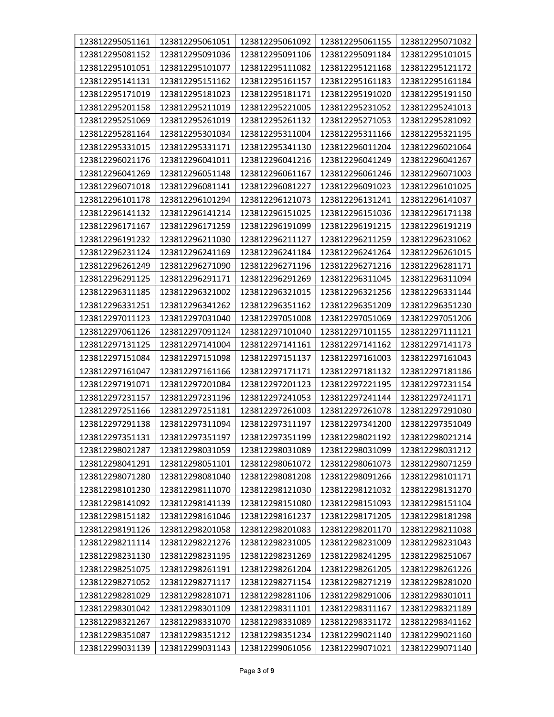| 123812295051161 | 123812295061051 | 123812295061092 | 123812295061155 | 123812295071032 |
|-----------------|-----------------|-----------------|-----------------|-----------------|
| 123812295081152 | 123812295091036 | 123812295091106 | 123812295091184 | 123812295101015 |
| 123812295101051 | 123812295101077 | 123812295111082 | 123812295121168 | 123812295121172 |
| 123812295141131 | 123812295151162 | 123812295161157 | 123812295161183 | 123812295161184 |
| 123812295171019 | 123812295181023 | 123812295181171 | 123812295191020 | 123812295191150 |
| 123812295201158 | 123812295211019 | 123812295221005 | 123812295231052 | 123812295241013 |
| 123812295251069 | 123812295261019 | 123812295261132 | 123812295271053 | 123812295281092 |
| 123812295281164 | 123812295301034 | 123812295311004 | 123812295311166 | 123812295321195 |
| 123812295331015 | 123812295331171 | 123812295341130 | 123812296011204 | 123812296021064 |
| 123812296021176 | 123812296041011 | 123812296041216 | 123812296041249 | 123812296041267 |
| 123812296041269 | 123812296051148 | 123812296061167 | 123812296061246 | 123812296071003 |
| 123812296071018 | 123812296081141 | 123812296081227 | 123812296091023 | 123812296101025 |
| 123812296101178 | 123812296101294 | 123812296121073 | 123812296131241 | 123812296141037 |
| 123812296141132 | 123812296141214 | 123812296151025 | 123812296151036 | 123812296171138 |
| 123812296171167 | 123812296171259 | 123812296191099 | 123812296191215 | 123812296191219 |
| 123812296191232 | 123812296211030 | 123812296211127 | 123812296211259 | 123812296231062 |
| 123812296231124 | 123812296241169 | 123812296241184 | 123812296241264 | 123812296261015 |
| 123812296261249 | 123812296271090 | 123812296271196 | 123812296271216 | 123812296281171 |
| 123812296291125 | 123812296291171 | 123812296291269 | 123812296311045 | 123812296311094 |
| 123812296311185 | 123812296321002 | 123812296321015 | 123812296321256 | 123812296331144 |
| 123812296331251 | 123812296341262 | 123812296351162 | 123812296351209 | 123812296351230 |
| 123812297011123 | 123812297031040 | 123812297051008 | 123812297051069 | 123812297051206 |
| 123812297061126 | 123812297091124 | 123812297101040 | 123812297101155 | 123812297111121 |
| 123812297131125 | 123812297141004 | 123812297141161 | 123812297141162 | 123812297141173 |
| 123812297151084 | 123812297151098 | 123812297151137 | 123812297161003 | 123812297161043 |
| 123812297161047 | 123812297161166 | 123812297171171 | 123812297181132 | 123812297181186 |
| 123812297191071 | 123812297201084 | 123812297201123 | 123812297221195 | 123812297231154 |
| 123812297231157 | 123812297231196 | 123812297241053 | 123812297241144 | 123812297241171 |
| 123812297251166 | 123812297251181 | 123812297261003 | 123812297261078 | 123812297291030 |
| 123812297291138 | 123812297311094 | 123812297311197 | 123812297341200 | 123812297351049 |
| 123812297351131 | 123812297351197 | 123812297351199 | 123812298021192 | 123812298021214 |
| 123812298021287 | 123812298031059 | 123812298031089 | 123812298031099 | 123812298031212 |
| 123812298041291 | 123812298051101 | 123812298061072 | 123812298061073 | 123812298071259 |
| 123812298071280 | 123812298081040 | 123812298081208 | 123812298091266 | 123812298101171 |
| 123812298101230 | 123812298111070 | 123812298121030 | 123812298121032 | 123812298131270 |
| 123812298141092 | 123812298141139 | 123812298151080 | 123812298151093 | 123812298151104 |
| 123812298151182 | 123812298161046 | 123812298161237 | 123812298171205 | 123812298181298 |
| 123812298191126 | 123812298201058 | 123812298201083 | 123812298201170 | 123812298211038 |
| 123812298211114 | 123812298221276 | 123812298231005 | 123812298231009 | 123812298231043 |
| 123812298231130 | 123812298231195 | 123812298231269 | 123812298241295 | 123812298251067 |
| 123812298251075 | 123812298261191 | 123812298261204 | 123812298261205 | 123812298261226 |
| 123812298271052 | 123812298271117 | 123812298271154 | 123812298271219 | 123812298281020 |
| 123812298281029 | 123812298281071 | 123812298281106 | 123812298291006 | 123812298301011 |
| 123812298301042 | 123812298301109 | 123812298311101 | 123812298311167 | 123812298321189 |
| 123812298321267 | 123812298331070 | 123812298331089 | 123812298331172 | 123812298341162 |
| 123812298351087 | 123812298351212 | 123812298351234 | 123812299021140 | 123812299021160 |
| 123812299031139 | 123812299031143 | 123812299061056 | 123812299071021 | 123812299071140 |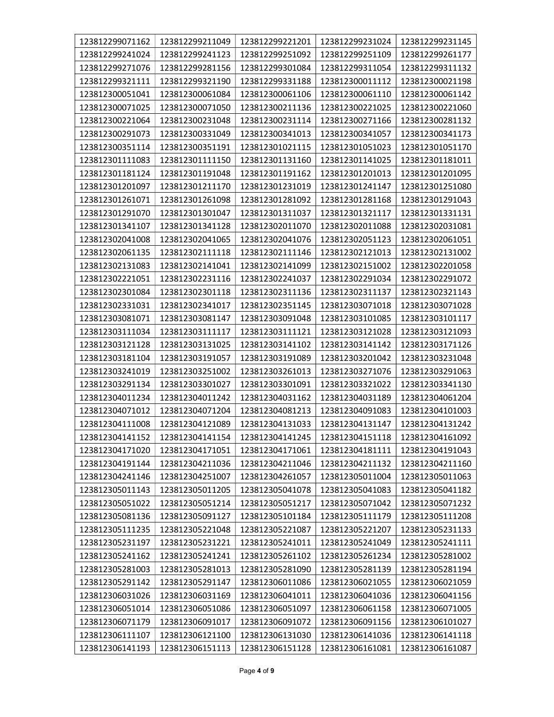| 123812299071162 | 123812299211049 | 123812299221201 | 123812299231024 | 123812299231145 |
|-----------------|-----------------|-----------------|-----------------|-----------------|
| 123812299241024 | 123812299241123 | 123812299251092 | 123812299251109 | 123812299261177 |
| 123812299271076 | 123812299281156 | 123812299301084 | 123812299311054 | 123812299311132 |
| 123812299321111 | 123812299321190 | 123812299331188 | 123812300011112 | 123812300021198 |
| 123812300051041 | 123812300061084 | 123812300061106 | 123812300061110 | 123812300061142 |
| 123812300071025 | 123812300071050 | 123812300211136 | 123812300221025 | 123812300221060 |
| 123812300221064 | 123812300231048 | 123812300231114 | 123812300271166 | 123812300281132 |
| 123812300291073 | 123812300331049 | 123812300341013 | 123812300341057 | 123812300341173 |
| 123812300351114 | 123812300351191 | 123812301021115 | 123812301051023 | 123812301051170 |
| 123812301111083 | 123812301111150 | 123812301131160 | 123812301141025 | 123812301181011 |
| 123812301181124 | 123812301191048 | 123812301191162 | 123812301201013 | 123812301201095 |
| 123812301201097 | 123812301211170 | 123812301231019 | 123812301241147 | 123812301251080 |
| 123812301261071 | 123812301261098 | 123812301281092 | 123812301281168 | 123812301291043 |
| 123812301291070 | 123812301301047 | 123812301311037 | 123812301321117 | 123812301331131 |
| 123812301341107 | 123812301341128 | 123812302011070 | 123812302011088 | 123812302031081 |
| 123812302041008 | 123812302041065 | 123812302041076 | 123812302051123 | 123812302061051 |
| 123812302061135 | 123812302111118 | 123812302111146 | 123812302121013 | 123812302131002 |
| 123812302131083 | 123812302141041 | 123812302141099 | 123812302151002 | 123812302201058 |
| 123812302221051 | 123812302231116 | 123812302241037 | 123812302291034 | 123812302291072 |
| 123812302301084 | 123812302301118 | 123812302311136 | 123812302311137 | 123812302321143 |
| 123812302331031 | 123812302341017 | 123812302351145 | 123812303071018 | 123812303071028 |
| 123812303081071 | 123812303081147 | 123812303091048 | 123812303101085 | 123812303101117 |
| 123812303111034 | 123812303111117 | 123812303111121 | 123812303121028 | 123812303121093 |
| 123812303121128 | 123812303131025 | 123812303141102 | 123812303141142 | 123812303171126 |
| 123812303181104 | 123812303191057 | 123812303191089 | 123812303201042 | 123812303231048 |
| 123812303241019 | 123812303251002 | 123812303261013 | 123812303271076 | 123812303291063 |
| 123812303291134 | 123812303301027 | 123812303301091 | 123812303321022 | 123812303341130 |
| 123812304011234 | 123812304011242 | 123812304031162 | 123812304031189 | 123812304061204 |
| 123812304071012 | 123812304071204 | 123812304081213 | 123812304091083 | 123812304101003 |
| 123812304111008 | 123812304121089 | 123812304131033 | 123812304131147 | 123812304131242 |
| 123812304141152 | 123812304141154 | 123812304141245 | 123812304151118 | 123812304161092 |
| 123812304171020 | 123812304171051 | 123812304171061 | 123812304181111 | 123812304191043 |
| 123812304191144 | 123812304211036 | 123812304211046 | 123812304211132 | 123812304211160 |
| 123812304241146 | 123812304251007 | 123812304261057 | 123812305011004 | 123812305011063 |
| 123812305011143 | 123812305011205 | 123812305041078 | 123812305041083 | 123812305041182 |
| 123812305051022 | 123812305051214 | 123812305051217 | 123812305071042 | 123812305071232 |
| 123812305081136 | 123812305091127 | 123812305101184 | 123812305111179 | 123812305111208 |
| 123812305111235 | 123812305221048 | 123812305221087 | 123812305221207 | 123812305231133 |
| 123812305231197 | 123812305231221 | 123812305241011 | 123812305241049 | 123812305241111 |
| 123812305241162 | 123812305241241 | 123812305261102 | 123812305261234 | 123812305281002 |
| 123812305281003 | 123812305281013 | 123812305281090 | 123812305281139 | 123812305281194 |
| 123812305291142 | 123812305291147 | 123812306011086 | 123812306021055 | 123812306021059 |
| 123812306031026 | 123812306031169 | 123812306041011 | 123812306041036 | 123812306041156 |
| 123812306051014 | 123812306051086 | 123812306051097 | 123812306061158 | 123812306071005 |
| 123812306071179 | 123812306091017 | 123812306091072 | 123812306091156 | 123812306101027 |
| 123812306111107 | 123812306121100 | 123812306131030 | 123812306141036 | 123812306141118 |
| 123812306141193 | 123812306151113 | 123812306151128 | 123812306161081 | 123812306161087 |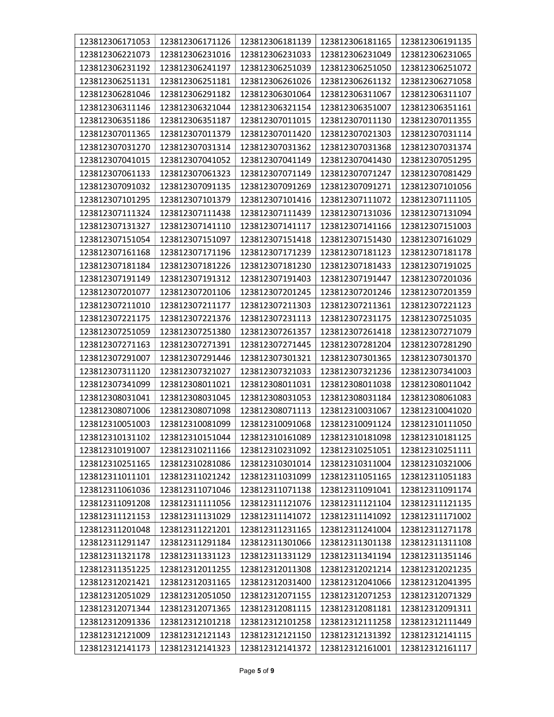| 123812306171053 | 123812306171126 | 123812306181139 | 123812306181165 | 123812306191135 |
|-----------------|-----------------|-----------------|-----------------|-----------------|
| 123812306221073 | 123812306231016 | 123812306231033 | 123812306231049 | 123812306231065 |
| 123812306231192 | 123812306241197 | 123812306251039 | 123812306251050 | 123812306251072 |
| 123812306251131 | 123812306251181 | 123812306261026 | 123812306261132 | 123812306271058 |
| 123812306281046 | 123812306291182 | 123812306301064 | 123812306311067 | 123812306311107 |
| 123812306311146 | 123812306321044 | 123812306321154 | 123812306351007 | 123812306351161 |
| 123812306351186 | 123812306351187 | 123812307011015 | 123812307011130 | 123812307011355 |
| 123812307011365 | 123812307011379 | 123812307011420 | 123812307021303 | 123812307031114 |
| 123812307031270 | 123812307031314 | 123812307031362 | 123812307031368 | 123812307031374 |
| 123812307041015 | 123812307041052 | 123812307041149 | 123812307041430 | 123812307051295 |
| 123812307061133 | 123812307061323 | 123812307071149 | 123812307071247 | 123812307081429 |
| 123812307091032 | 123812307091135 | 123812307091269 | 123812307091271 | 123812307101056 |
| 123812307101295 | 123812307101379 | 123812307101416 | 123812307111072 | 123812307111105 |
| 123812307111324 | 123812307111438 | 123812307111439 | 123812307131036 | 123812307131094 |
| 123812307131327 | 123812307141110 | 123812307141117 | 123812307141166 | 123812307151003 |
| 123812307151054 | 123812307151097 | 123812307151418 | 123812307151430 | 123812307161029 |
| 123812307161168 | 123812307171196 | 123812307171239 | 123812307181123 | 123812307181178 |
| 123812307181184 | 123812307181226 | 123812307181230 | 123812307181433 | 123812307191025 |
| 123812307191149 | 123812307191312 | 123812307191403 | 123812307191447 | 123812307201036 |
| 123812307201077 | 123812307201106 | 123812307201245 | 123812307201246 | 123812307201359 |
| 123812307211010 | 123812307211177 | 123812307211303 | 123812307211361 | 123812307221123 |
| 123812307221175 | 123812307221376 | 123812307231113 | 123812307231175 | 123812307251035 |
| 123812307251059 | 123812307251380 | 123812307261357 | 123812307261418 | 123812307271079 |
| 123812307271163 | 123812307271391 | 123812307271445 | 123812307281204 | 123812307281290 |
| 123812307291007 | 123812307291446 | 123812307301321 | 123812307301365 | 123812307301370 |
| 123812307311120 | 123812307321027 | 123812307321033 | 123812307321236 | 123812307341003 |
| 123812307341099 | 123812308011021 | 123812308011031 | 123812308011038 | 123812308011042 |
| 123812308031041 | 123812308031045 | 123812308031053 | 123812308031184 | 123812308061083 |
| 123812308071006 | 123812308071098 | 123812308071113 | 123812310031067 | 123812310041020 |
| 123812310051003 | 123812310081099 | 123812310091068 | 123812310091124 | 123812310111050 |
| 123812310131102 | 123812310151044 | 123812310161089 | 123812310181098 | 123812310181125 |
| 123812310191007 | 123812310211166 | 123812310231092 | 123812310251051 | 123812310251111 |
| 123812310251165 | 123812310281086 | 123812310301014 | 123812310311004 | 123812310321006 |
| 123812311011101 | 123812311021242 | 123812311031099 | 123812311051165 | 123812311051183 |
| 123812311061036 | 123812311071046 | 123812311071138 | 123812311091041 | 123812311091174 |
| 123812311091208 | 123812311111056 | 123812311121076 | 123812311121104 | 123812311121135 |
| 123812311121153 | 123812311131029 | 123812311141072 | 123812311141092 | 123812311171002 |
| 123812311201048 | 123812311221201 | 123812311231165 | 123812311241004 | 123812311271178 |
| 123812311291147 | 123812311291184 | 123812311301066 | 123812311301138 | 123812311311108 |
| 123812311321178 | 123812311331123 | 123812311331129 | 123812311341194 | 123812311351146 |
| 123812311351225 | 123812312011255 | 123812312011308 | 123812312021214 | 123812312021235 |
| 123812312021421 | 123812312031165 | 123812312031400 | 123812312041066 | 123812312041395 |
| 123812312051029 | 123812312051050 | 123812312071155 | 123812312071253 | 123812312071329 |
| 123812312071344 | 123812312071365 | 123812312081115 | 123812312081181 | 123812312091311 |
| 123812312091336 | 123812312101218 | 123812312101258 | 123812312111258 | 123812312111449 |
| 123812312121009 | 123812312121143 | 123812312121150 | 123812312131392 | 123812312141115 |
| 123812312141173 | 123812312141323 | 123812312141372 | 123812312161001 | 123812312161117 |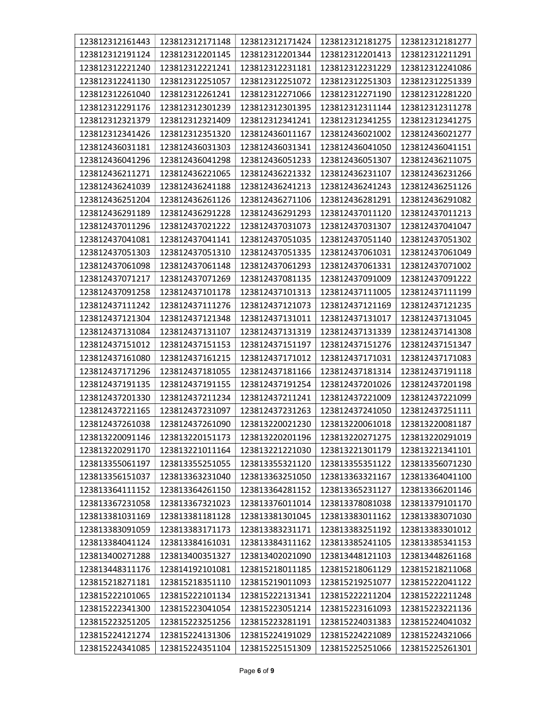| 123812312161443 | 123812312171148 | 123812312171424 | 123812312181275 | 123812312181277 |
|-----------------|-----------------|-----------------|-----------------|-----------------|
| 123812312191124 | 123812312201145 | 123812312201344 | 123812312201413 | 123812312211291 |
| 123812312221240 | 123812312221241 | 123812312231181 | 123812312231229 | 123812312241086 |
| 123812312241130 | 123812312251057 | 123812312251072 | 123812312251303 | 123812312251339 |
| 123812312261040 | 123812312261241 | 123812312271066 | 123812312271190 | 123812312281220 |
| 123812312291176 | 123812312301239 | 123812312301395 | 123812312311144 | 123812312311278 |
| 123812312321379 | 123812312321409 | 123812312341241 | 123812312341255 | 123812312341275 |
| 123812312341426 | 123812312351320 | 123812436011167 | 123812436021002 | 123812436021277 |
| 123812436031181 | 123812436031303 | 123812436031341 | 123812436041050 | 123812436041151 |
| 123812436041296 | 123812436041298 | 123812436051233 | 123812436051307 | 123812436211075 |
| 123812436211271 | 123812436221065 | 123812436221332 | 123812436231107 | 123812436231266 |
| 123812436241039 | 123812436241188 | 123812436241213 | 123812436241243 | 123812436251126 |
| 123812436251204 | 123812436261126 | 123812436271106 | 123812436281291 | 123812436291082 |
| 123812436291189 | 123812436291228 | 123812436291293 | 123812437011120 | 123812437011213 |
| 123812437011296 | 123812437021222 | 123812437031073 | 123812437031307 | 123812437041047 |
| 123812437041081 | 123812437041141 | 123812437051035 | 123812437051140 | 123812437051302 |
| 123812437051303 | 123812437051310 | 123812437051335 | 123812437061031 | 123812437061049 |
| 123812437061098 | 123812437061148 | 123812437061293 | 123812437061331 | 123812437071002 |
| 123812437071217 | 123812437071269 | 123812437081135 | 123812437091009 | 123812437091222 |
| 123812437091258 | 123812437101178 | 123812437101313 | 123812437111005 | 123812437111199 |
| 123812437111242 | 123812437111276 | 123812437121073 | 123812437121169 | 123812437121235 |
| 123812437121304 | 123812437121348 | 123812437131011 | 123812437131017 | 123812437131045 |
| 123812437131084 | 123812437131107 | 123812437131319 | 123812437131339 | 123812437141308 |
| 123812437151012 | 123812437151153 | 123812437151197 | 123812437151276 | 123812437151347 |
| 123812437161080 | 123812437161215 | 123812437171012 | 123812437171031 | 123812437171083 |
| 123812437171296 | 123812437181055 | 123812437181166 | 123812437181314 | 123812437191118 |
| 123812437191135 | 123812437191155 | 123812437191254 | 123812437201026 | 123812437201198 |
| 123812437201330 | 123812437211234 | 123812437211241 | 123812437221009 | 123812437221099 |
| 123812437221165 | 123812437231097 | 123812437231263 | 123812437241050 | 123812437251111 |
| 123812437261038 | 123812437261090 | 123813220021230 | 123813220061018 | 123813220081187 |
| 123813220091146 | 123813220151173 | 123813220201196 | 123813220271275 | 123813220291019 |
| 123813220291170 | 123813221011164 | 123813221221030 | 123813221301179 | 123813221341101 |
| 123813355061197 | 123813355251055 | 123813355321120 | 123813355351122 | 123813356071230 |
| 123813356151037 | 123813363231040 | 123813363251050 | 123813363321167 | 123813364041100 |
| 123813364111152 | 123813364261150 | 123813364281152 | 123813365231127 | 123813366201146 |
| 123813367231058 | 123813367321023 | 123813376011014 | 123813378081038 | 123813379101170 |
| 123813381031169 | 123813381181128 | 123813381301045 | 123813383011162 | 123813383071030 |
| 123813383091059 | 123813383171173 | 123813383231171 | 123813383251192 | 123813383301012 |
| 123813384041124 | 123813384161031 | 123813384311162 | 123813385241105 | 123813385341153 |
| 123813400271288 | 123813400351327 | 123813402021090 | 123813448121103 | 123813448261168 |
| 123813448311176 | 123814192101081 | 123815218011185 | 123815218061129 | 123815218211068 |
| 123815218271181 | 123815218351110 | 123815219011093 | 123815219251077 | 123815222041122 |
| 123815222101065 | 123815222101134 | 123815222131341 | 123815222211204 | 123815222211248 |
| 123815222341300 | 123815223041054 | 123815223051214 | 123815223161093 | 123815223221136 |
| 123815223251205 | 123815223251256 | 123815223281191 | 123815224031383 | 123815224041032 |
| 123815224121274 | 123815224131306 | 123815224191029 | 123815224221089 | 123815224321066 |
| 123815224341085 | 123815224351104 | 123815225151309 | 123815225251066 | 123815225261301 |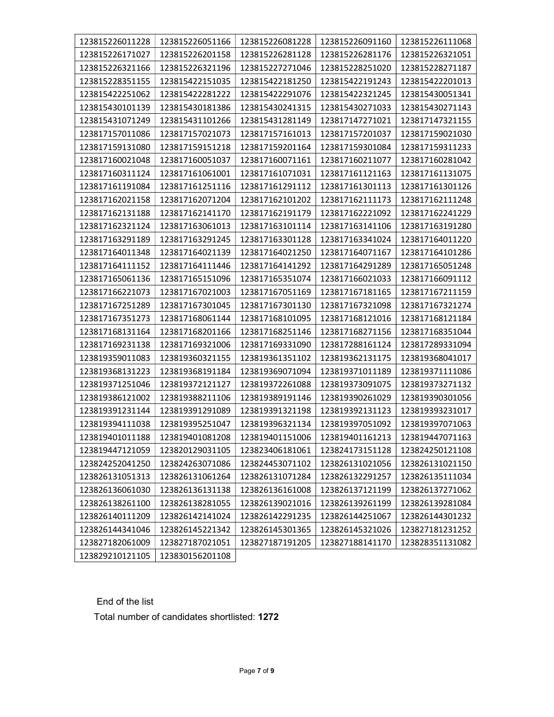| 123815226011228 | 123815226051166 | 123815226081228 | 123815226091160 | 123815226111068 |
|-----------------|-----------------|-----------------|-----------------|-----------------|
| 123815226171027 | 123815226201158 | 123815226281128 | 123815226281176 | 123815226321051 |
| 123815226321166 | 123815226321196 | 123815227271046 | 123815228251020 | 123815228271187 |
| 123815228351155 | 123815422151035 | 123815422181250 | 123815422191243 | 123815422201013 |
| 123815422251062 | 123815422281222 | 123815422291076 | 123815422321245 | 123815430051341 |
| 123815430101139 | 123815430181386 | 123815430241315 | 123815430271033 | 123815430271143 |
| 123815431071249 | 123815431101266 | 123815431281149 | 123817147271021 | 123817147321155 |
| 123817157011086 | 123817157021073 | 123817157161013 | 123817157201037 | 123817159021030 |
| 123817159131080 | 123817159151218 | 123817159201164 | 123817159301084 | 123817159311233 |
| 123817160021048 | 123817160051037 | 123817160071161 | 123817160211077 | 123817160281042 |
| 123817160311124 | 123817161061001 | 123817161071031 | 123817161121163 | 123817161131075 |
| 123817161191084 | 123817161251116 | 123817161291112 | 123817161301113 | 123817161301126 |
| 123817162021158 | 123817162071204 | 123817162101202 | 123817162111173 | 123817162111248 |
| 123817162131188 | 123817162141170 | 123817162191179 | 123817162221092 | 123817162241229 |
| 123817162321124 | 123817163061013 | 123817163101114 | 123817163141106 | 123817163191280 |
| 123817163291189 | 123817163291245 | 123817163301128 | 123817163341024 | 123817164011220 |
| 123817164011348 | 123817164021139 | 123817164021250 | 123817164071167 | 123817164101286 |
| 123817164111152 | 123817164111446 | 123817164141292 | 123817164291289 | 123817165051248 |
| 123817165061136 | 123817165151096 | 123817165351074 | 123817166021033 | 123817166091112 |
| 123817166221073 | 123817167021003 | 123817167051169 | 123817167181165 | 123817167211159 |
| 123817167251289 | 123817167301045 | 123817167301130 | 123817167321098 | 123817167321274 |
| 123817167351273 | 123817168061144 | 123817168101095 | 123817168121016 | 123817168121184 |
| 123817168131164 | 123817168201166 | 123817168251146 | 123817168271156 | 123817168351044 |
| 123817169231138 | 123817169321006 | 123817169331090 | 123817288161124 | 123817289331094 |
| 123819359011083 | 123819360321155 | 123819361351102 | 123819362131175 | 123819368041017 |
| 123819368131223 | 123819368191184 | 123819369071094 | 123819371011189 | 123819371111086 |
| 123819371251046 | 123819372121127 | 123819372261088 | 123819373091075 | 123819373271132 |
| 123819386121002 | 123819388211106 | 123819389191146 | 123819390261029 | 123819390301056 |
| 123819391231144 | 123819391291089 | 123819391321198 | 123819392131123 | 123819393231017 |
| 123819394111038 | 123819395251047 | 123819396321134 | 123819397051092 | 123819397071063 |
| 123819401011188 | 123819401081208 | 123819401151006 | 123819401161213 | 123819447071163 |
| 123819447121059 | 123820129031105 | 123823406181061 | 123824173151128 | 123824250121108 |
| 123824252041250 | 123824263071086 | 123824453071102 | 123826131021056 | 123826131021150 |
| 123826131051313 | 123826131061264 | 123826131071284 | 123826132291257 | 123826135111034 |
| 123826136061030 | 123826136131138 | 123826136161008 | 123826137121199 | 123826137271062 |
| 123826138261100 | 123826138281055 | 123826139021016 | 123826139261199 | 123826139281084 |
| 123826140111209 | 123826142141024 | 123826142291235 | 123826144251067 | 123826144301232 |
| 123826144341046 | 123826145221342 | 123826145301365 | 123826145321026 | 123827181231252 |
| 123827182061009 | 123827187021051 | 123827187191205 | 123827188141170 | 123828351131082 |
| 123829210121105 | 123830156201108 |                 |                 |                 |

End of the list

Total number of candidates shortlisted: 1272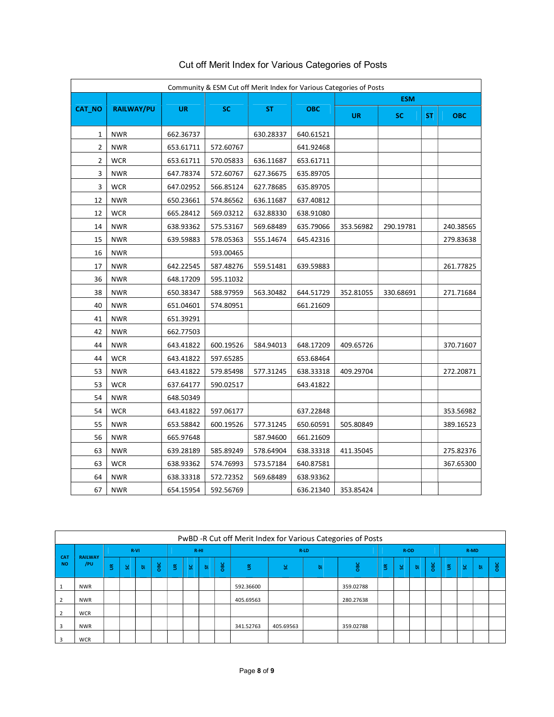|                |                   |           |           | Community & ESM Cut off Merit Index for Various Categories of Posts |            |           |            |           |            |  |  |  |  |
|----------------|-------------------|-----------|-----------|---------------------------------------------------------------------|------------|-----------|------------|-----------|------------|--|--|--|--|
|                |                   |           |           |                                                                     |            |           | <b>ESM</b> |           |            |  |  |  |  |
| CAT_NO         | <b>RAILWAY/PU</b> | <b>UR</b> | <b>SC</b> | <b>ST</b>                                                           | <b>OBC</b> | <b>UR</b> | <b>SC</b>  | <b>ST</b> | <b>OBC</b> |  |  |  |  |
| 1              | <b>NWR</b>        | 662.36737 |           | 630.28337                                                           | 640.61521  |           |            |           |            |  |  |  |  |
| $\overline{2}$ | <b>NWR</b>        | 653.61711 | 572.60767 |                                                                     | 641.92468  |           |            |           |            |  |  |  |  |
| 2              | <b>WCR</b>        | 653.61711 | 570.05833 | 636.11687                                                           | 653.61711  |           |            |           |            |  |  |  |  |
| 3              | <b>NWR</b>        | 647.78374 | 572.60767 | 627.36675                                                           | 635.89705  |           |            |           |            |  |  |  |  |
| 3              | <b>WCR</b>        | 647.02952 | 566.85124 | 627.78685                                                           | 635.89705  |           |            |           |            |  |  |  |  |
| 12             | <b>NWR</b>        | 650.23661 | 574.86562 | 636.11687                                                           | 637.40812  |           |            |           |            |  |  |  |  |
| 12             | <b>WCR</b>        | 665.28412 | 569.03212 | 632.88330                                                           | 638.91080  |           |            |           |            |  |  |  |  |
| 14             | <b>NWR</b>        | 638.93362 | 575.53167 | 569.68489                                                           | 635.79066  | 353.56982 | 290.19781  |           | 240.38565  |  |  |  |  |
| 15             | <b>NWR</b>        | 639.59883 | 578.05363 | 555.14674                                                           | 645.42316  |           |            |           | 279.83638  |  |  |  |  |
| 16             | <b>NWR</b>        |           | 593.00465 |                                                                     |            |           |            |           |            |  |  |  |  |
| 17             | <b>NWR</b>        | 642.22545 | 587.48276 | 559.51481                                                           | 639.59883  |           |            |           | 261.77825  |  |  |  |  |
| 36             | <b>NWR</b>        | 648.17209 | 595.11032 |                                                                     |            |           |            |           |            |  |  |  |  |
| 38             | <b>NWR</b>        | 650.38347 | 588.97959 | 563.30482                                                           | 644.51729  | 352.81055 | 330.68691  |           | 271.71684  |  |  |  |  |
| 40             | <b>NWR</b>        | 651.04601 | 574.80951 |                                                                     | 661.21609  |           |            |           |            |  |  |  |  |
| 41             | <b>NWR</b>        | 651.39291 |           |                                                                     |            |           |            |           |            |  |  |  |  |
| 42             | <b>NWR</b>        | 662.77503 |           |                                                                     |            |           |            |           |            |  |  |  |  |
| 44             | <b>NWR</b>        | 643.41822 | 600.19526 | 584.94013                                                           | 648.17209  | 409.65726 |            |           | 370.71607  |  |  |  |  |
| 44             | <b>WCR</b>        | 643.41822 | 597.65285 |                                                                     | 653.68464  |           |            |           |            |  |  |  |  |
| 53             | <b>NWR</b>        | 643.41822 | 579.85498 | 577.31245                                                           | 638.33318  | 409.29704 |            |           | 272.20871  |  |  |  |  |
| 53             | <b>WCR</b>        | 637.64177 | 590.02517 |                                                                     | 643.41822  |           |            |           |            |  |  |  |  |
| 54             | <b>NWR</b>        | 648.50349 |           |                                                                     |            |           |            |           |            |  |  |  |  |
| 54             | <b>WCR</b>        | 643.41822 | 597.06177 |                                                                     | 637.22848  |           |            |           | 353.56982  |  |  |  |  |
| 55             | <b>NWR</b>        | 653.58842 | 600.19526 | 577.31245                                                           | 650.60591  | 505.80849 |            |           | 389.16523  |  |  |  |  |
| 56             | <b>NWR</b>        | 665.97648 |           | 587.94600                                                           | 661.21609  |           |            |           |            |  |  |  |  |
| 63             | <b>NWR</b>        | 639.28189 | 585.89249 | 578.64904                                                           | 638.33318  | 411.35045 |            |           | 275.82376  |  |  |  |  |
| 63             | <b>WCR</b>        | 638.93362 | 574.76993 | 573.57184                                                           | 640.87581  |           |            |           | 367.65300  |  |  |  |  |
| 64             | <b>NWR</b>        | 638.33318 | 572.72352 | 569.68489                                                           | 638.93362  |           |            |           |            |  |  |  |  |
| 67             | <b>NWR</b>        | 654.15954 | 592.56769 |                                                                     | 636.21340  | 353.85424 |            |           |            |  |  |  |  |

# Cut off Merit Index for Various Categories of Posts

|                  | PwBD -R Cut off Merit Index for Various Categories of Posts |        |   |             |    |        |   |           |        |           |           |     |           |    |      |               |                |      |   |            |  |  |
|------------------|-------------------------------------------------------------|--------|---|-------------|----|--------|---|-----------|--------|-----------|-----------|-----|-----------|----|------|---------------|----------------|------|---|------------|--|--|
| <b>CAT</b>       | <b>RAILWAY</b>                                              | $R-VI$ |   |             |    | $R-HI$ |   |           |        | $R-LD$    |           |     |           |    | R-OD |               |                | R-MD |   |            |  |  |
| /PU<br><b>NO</b> | š.                                                          | S.     | 厉 | $rac{6}{2}$ | -S | -8     | 员 | <b>BC</b> | $\leq$ | s.        | 눖         | OBC | š.        | s. | 员    | $\frac{1}{2}$ | $\mathfrak{S}$ | s.   | 员 | <b>OBC</b> |  |  |
|                  | <b>NWR</b>                                                  |        |   |             |    |        |   |           |        | 592.36600 |           |     | 359.02788 |    |      |               |                |      |   |            |  |  |
|                  | <b>NWR</b>                                                  |        |   |             |    |        |   |           |        | 405.69563 |           |     | 280.27638 |    |      |               |                |      |   |            |  |  |
|                  | <b>WCR</b>                                                  |        |   |             |    |        |   |           |        |           |           |     |           |    |      |               |                |      |   |            |  |  |
| 3                | <b>NWR</b>                                                  |        |   |             |    |        |   |           |        | 341.52763 | 405.69563 |     | 359.02788 |    |      |               |                |      |   |            |  |  |
| з                | <b>WCR</b>                                                  |        |   |             |    |        |   |           |        |           |           |     |           |    |      |               |                |      |   |            |  |  |